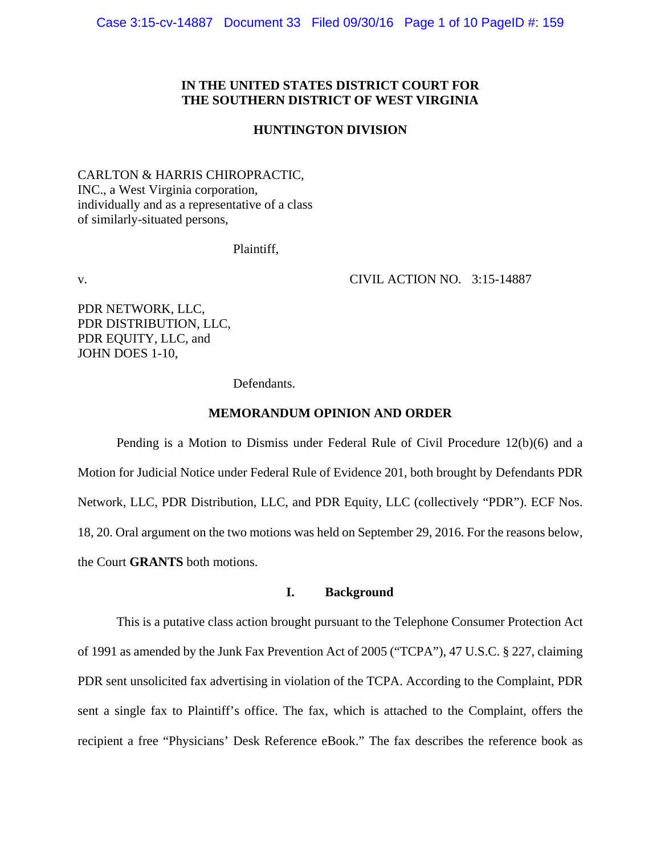Case 3:15-cv-14887 Document 33 Filed 09/30/16 Page 1 of 10 PageID #: 159

## **IN THE UNITED STATES DISTRICT COURT FOR THE SOUTHERN DISTRICT OF WEST VIRGINIA**

### **HUNTINGTON DIVISION**

CARLTON & HARRIS CHIROPRACTIC, INC., a West Virginia corporation, individually and as a representative of a class of similarly-situated persons,

Plaintiff,

v. CIVIL ACTION NO. 3:15-14887

PDR NETWORK, LLC, PDR DISTRIBUTION, LLC, PDR EQUITY, LLC, and JOHN DOES 1-10,

Defendants.

#### **MEMORANDUM OPINION AND ORDER**

Pending is a Motion to Dismiss under Federal Rule of Civil Procedure 12(b)(6) and a Motion for Judicial Notice under Federal Rule of Evidence 201, both brought by Defendants PDR Network, LLC, PDR Distribution, LLC, and PDR Equity, LLC (collectively "PDR"). ECF Nos. 18, 20. Oral argument on the two motions was held on September 29, 2016. For the reasons below, the Court **GRANTS** both motions.

# **I. Background**

This is a putative class action brought pursuant to the Telephone Consumer Protection Act of 1991 as amended by the Junk Fax Prevention Act of 2005 ("TCPA"), 47 U.S.C. § 227, claiming PDR sent unsolicited fax advertising in violation of the TCPA. According to the Complaint, PDR sent a single fax to Plaintiff's office. The fax, which is attached to the Complaint, offers the recipient a free "Physicians' Desk Reference eBook." The fax describes the reference book as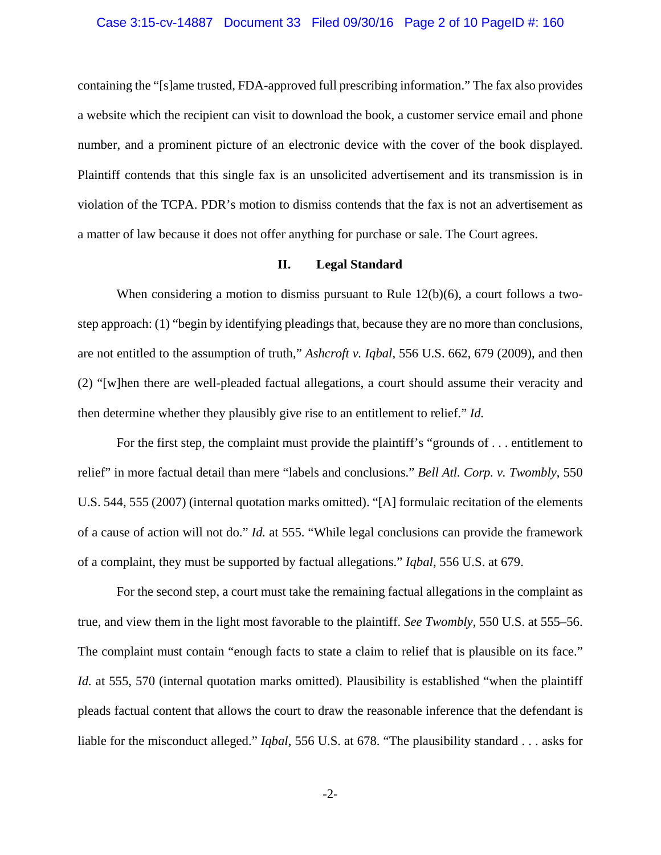### Case 3:15-cv-14887 Document 33 Filed 09/30/16 Page 2 of 10 PageID #: 160

containing the "[s]ame trusted, FDA-approved full prescribing information." The fax also provides a website which the recipient can visit to download the book, a customer service email and phone number, and a prominent picture of an electronic device with the cover of the book displayed. Plaintiff contends that this single fax is an unsolicited advertisement and its transmission is in violation of the TCPA. PDR's motion to dismiss contends that the fax is not an advertisement as a matter of law because it does not offer anything for purchase or sale. The Court agrees.

## **II. Legal Standard**

When considering a motion to dismiss pursuant to Rule 12(b)(6), a court follows a twostep approach: (1) "begin by identifying pleadings that, because they are no more than conclusions, are not entitled to the assumption of truth," *Ashcroft v. Iqbal*, 556 U.S. 662, 679 (2009), and then (2) "[w]hen there are well-pleaded factual allegations, a court should assume their veracity and then determine whether they plausibly give rise to an entitlement to relief." *Id.*

For the first step, the complaint must provide the plaintiff's "grounds of . . . entitlement to relief" in more factual detail than mere "labels and conclusions." *Bell Atl. Corp. v. Twombly*, 550 U.S. 544, 555 (2007) (internal quotation marks omitted). "[A] formulaic recitation of the elements of a cause of action will not do." *Id.* at 555. "While legal conclusions can provide the framework of a complaint, they must be supported by factual allegations." *Iqbal*, 556 U.S. at 679.

For the second step, a court must take the remaining factual allegations in the complaint as true, and view them in the light most favorable to the plaintiff. *See Twombly*, 550 U.S. at 555–56. The complaint must contain "enough facts to state a claim to relief that is plausible on its face." *Id.* at 555, 570 (internal quotation marks omitted). Plausibility is established "when the plaintiff pleads factual content that allows the court to draw the reasonable inference that the defendant is liable for the misconduct alleged." *Iqbal*, 556 U.S. at 678. "The plausibility standard . . . asks for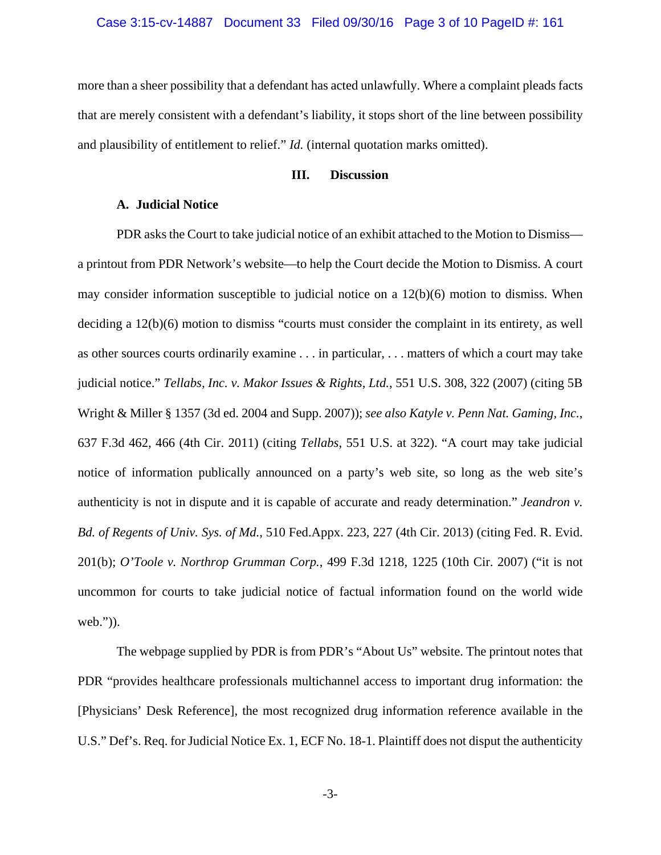#### Case 3:15-cv-14887 Document 33 Filed 09/30/16 Page 3 of 10 PageID #: 161

more than a sheer possibility that a defendant has acted unlawfully. Where a complaint pleads facts that are merely consistent with a defendant's liability, it stops short of the line between possibility and plausibility of entitlement to relief." *Id.* (internal quotation marks omitted).

## **III. Discussion**

## **A. Judicial Notice**

 PDR asks the Court to take judicial notice of an exhibit attached to the Motion to Dismiss a printout from PDR Network's website—to help the Court decide the Motion to Dismiss. A court may consider information susceptible to judicial notice on a 12(b)(6) motion to dismiss. When deciding a 12(b)(6) motion to dismiss "courts must consider the complaint in its entirety, as well as other sources courts ordinarily examine . . . in particular, . . . matters of which a court may take judicial notice." *Tellabs, Inc. v. Makor Issues & Rights, Ltd.*, 551 U.S. 308, 322 (2007) (citing 5B Wright & Miller § 1357 (3d ed. 2004 and Supp. 2007)); *see also Katyle v. Penn Nat. Gaming, Inc.*, 637 F.3d 462, 466 (4th Cir. 2011) (citing *Tellabs*, 551 U.S. at 322). "A court may take judicial notice of information publically announced on a party's web site, so long as the web site's authenticity is not in dispute and it is capable of accurate and ready determination." *Jeandron v. Bd. of Regents of Univ. Sys. of Md.*, 510 Fed.Appx. 223, 227 (4th Cir. 2013) (citing Fed. R. Evid. 201(b); *O'Toole v. Northrop Grumman Corp.*, 499 F.3d 1218, 1225 (10th Cir. 2007) ("it is not uncommon for courts to take judicial notice of factual information found on the world wide web.")).

The webpage supplied by PDR is from PDR's "About Us" website. The printout notes that PDR "provides healthcare professionals multichannel access to important drug information: the [Physicians' Desk Reference], the most recognized drug information reference available in the U.S." Def's. Req. for Judicial Notice Ex. 1, ECF No. 18-1. Plaintiff does not disput the authenticity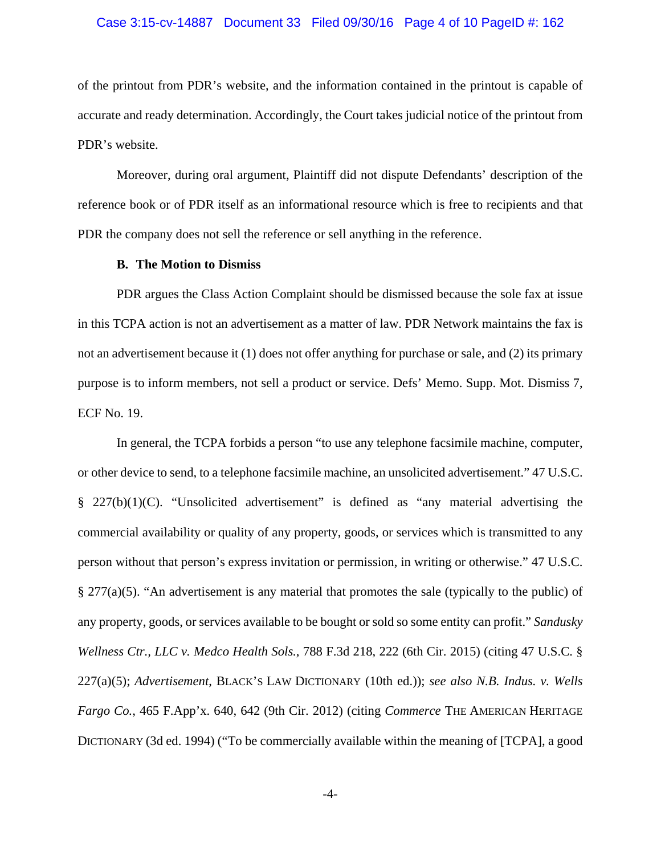### Case 3:15-cv-14887 Document 33 Filed 09/30/16 Page 4 of 10 PageID #: 162

of the printout from PDR's website, and the information contained in the printout is capable of accurate and ready determination. Accordingly, the Court takes judicial notice of the printout from PDR's website.

Moreover, during oral argument, Plaintiff did not dispute Defendants' description of the reference book or of PDR itself as an informational resource which is free to recipients and that PDR the company does not sell the reference or sell anything in the reference.

## **B. The Motion to Dismiss**

 PDR argues the Class Action Complaint should be dismissed because the sole fax at issue in this TCPA action is not an advertisement as a matter of law. PDR Network maintains the fax is not an advertisement because it (1) does not offer anything for purchase or sale, and (2) its primary purpose is to inform members, not sell a product or service. Defs' Memo. Supp. Mot. Dismiss 7, ECF No. 19.

In general, the TCPA forbids a person "to use any telephone facsimile machine, computer, or other device to send, to a telephone facsimile machine, an unsolicited advertisement." 47 U.S.C. § 227(b)(1)(C). "Unsolicited advertisement" is defined as "any material advertising the commercial availability or quality of any property, goods, or services which is transmitted to any person without that person's express invitation or permission, in writing or otherwise." 47 U.S.C. § 277(a)(5). "An advertisement is any material that promotes the sale (typically to the public) of any property, goods, or services available to be bought or sold so some entity can profit." *Sandusky Wellness Ctr., LLC v. Medco Health Sols.*, 788 F.3d 218, 222 (6th Cir. 2015) (citing 47 U.S.C. § 227(a)(5); *Advertisement*, BLACK'S LAW DICTIONARY (10th ed.)); *see also N.B. Indus. v. Wells Fargo Co.*, 465 F.App'x. 640, 642 (9th Cir. 2012) (citing *Commerce* THE AMERICAN HERITAGE DICTIONARY (3d ed. 1994) ("To be commercially available within the meaning of [TCPA], a good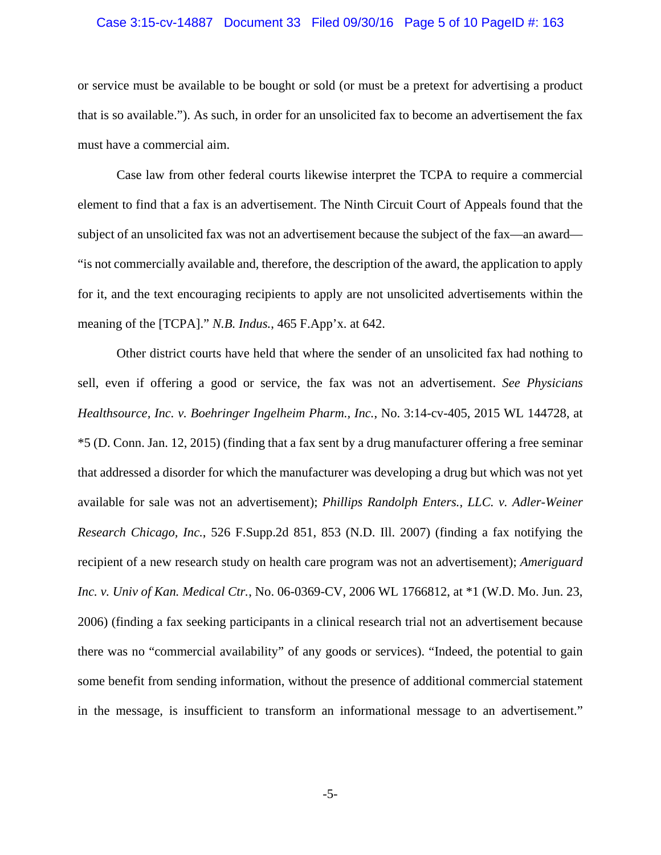### Case 3:15-cv-14887 Document 33 Filed 09/30/16 Page 5 of 10 PageID #: 163

or service must be available to be bought or sold (or must be a pretext for advertising a product that is so available."). As such, in order for an unsolicited fax to become an advertisement the fax must have a commercial aim.

Case law from other federal courts likewise interpret the TCPA to require a commercial element to find that a fax is an advertisement. The Ninth Circuit Court of Appeals found that the subject of an unsolicited fax was not an advertisement because the subject of the fax—an award— "is not commercially available and, therefore, the description of the award, the application to apply for it, and the text encouraging recipients to apply are not unsolicited advertisements within the meaning of the [TCPA]." *N.B. Indus.*, 465 F.App'x. at 642.

Other district courts have held that where the sender of an unsolicited fax had nothing to sell, even if offering a good or service, the fax was not an advertisement. *See Physicians Healthsource, Inc. v. Boehringer Ingelheim Pharm., Inc.*, No. 3:14-cv-405, 2015 WL 144728, at \*5 (D. Conn. Jan. 12, 2015) (finding that a fax sent by a drug manufacturer offering a free seminar that addressed a disorder for which the manufacturer was developing a drug but which was not yet available for sale was not an advertisement); *Phillips Randolph Enters., LLC. v. Adler-Weiner Research Chicago, Inc.*, 526 F.Supp.2d 851, 853 (N.D. Ill. 2007) (finding a fax notifying the recipient of a new research study on health care program was not an advertisement); *Ameriguard Inc. v. Univ of Kan. Medical Ctr.*, No. 06-0369-CV, 2006 WL 1766812, at \*1 (W.D. Mo. Jun. 23, 2006) (finding a fax seeking participants in a clinical research trial not an advertisement because there was no "commercial availability" of any goods or services). "Indeed, the potential to gain some benefit from sending information, without the presence of additional commercial statement in the message, is insufficient to transform an informational message to an advertisement."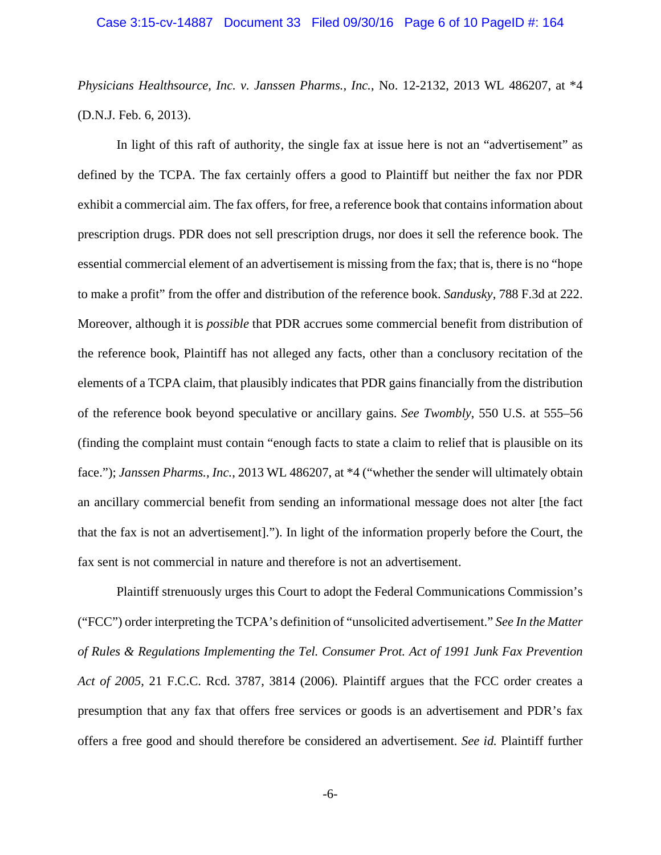### Case 3:15-cv-14887 Document 33 Filed 09/30/16 Page 6 of 10 PageID #: 164

*Physicians Healthsource, Inc. v. Janssen Pharms., Inc.*, No. 12-2132, 2013 WL 486207, at \*4 (D.N.J. Feb. 6, 2013).

In light of this raft of authority, the single fax at issue here is not an "advertisement" as defined by the TCPA. The fax certainly offers a good to Plaintiff but neither the fax nor PDR exhibit a commercial aim. The fax offers, for free, a reference book that contains information about prescription drugs. PDR does not sell prescription drugs, nor does it sell the reference book. The essential commercial element of an advertisement is missing from the fax; that is, there is no "hope to make a profit" from the offer and distribution of the reference book. *Sandusky*, 788 F.3d at 222. Moreover, although it is *possible* that PDR accrues some commercial benefit from distribution of the reference book, Plaintiff has not alleged any facts, other than a conclusory recitation of the elements of a TCPA claim, that plausibly indicates that PDR gains financially from the distribution of the reference book beyond speculative or ancillary gains. *See Twombly*, 550 U.S. at 555–56 (finding the complaint must contain "enough facts to state a claim to relief that is plausible on its face."); *Janssen Pharms., Inc.*, 2013 WL 486207, at \*4 ("whether the sender will ultimately obtain an ancillary commercial benefit from sending an informational message does not alter [the fact that the fax is not an advertisement]."). In light of the information properly before the Court, the fax sent is not commercial in nature and therefore is not an advertisement.

 Plaintiff strenuously urges this Court to adopt the Federal Communications Commission's ("FCC") order interpreting the TCPA's definition of "unsolicited advertisement." *See In the Matter of Rules & Regulations Implementing the Tel. Consumer Prot. Act of 1991 Junk Fax Prevention Act of 2005*, 21 F.C.C. Rcd. 3787, 3814 (2006). Plaintiff argues that the FCC order creates a presumption that any fax that offers free services or goods is an advertisement and PDR's fax offers a free good and should therefore be considered an advertisement. *See id.* Plaintiff further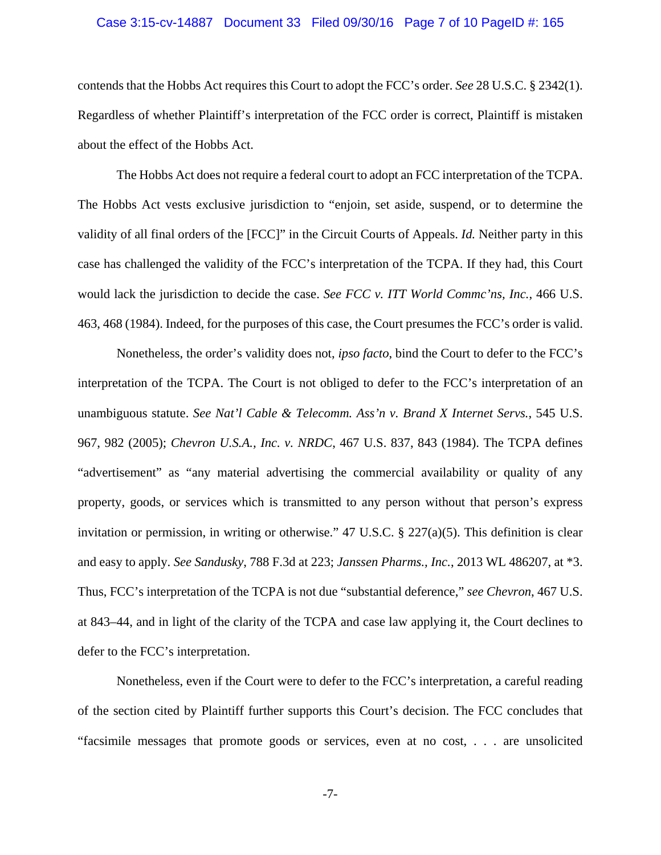### Case 3:15-cv-14887 Document 33 Filed 09/30/16 Page 7 of 10 PageID #: 165

contends that the Hobbs Act requires this Court to adopt the FCC's order. *See* 28 U.S.C. § 2342(1). Regardless of whether Plaintiff's interpretation of the FCC order is correct, Plaintiff is mistaken about the effect of the Hobbs Act.

The Hobbs Act does not require a federal court to adopt an FCC interpretation of the TCPA. The Hobbs Act vests exclusive jurisdiction to "enjoin, set aside, suspend, or to determine the validity of all final orders of the [FCC]" in the Circuit Courts of Appeals. *Id.* Neither party in this case has challenged the validity of the FCC's interpretation of the TCPA. If they had, this Court would lack the jurisdiction to decide the case. *See FCC v. ITT World Commc'ns, Inc.*, 466 U.S. 463, 468 (1984). Indeed, for the purposes of this case, the Court presumes the FCC's order is valid.

Nonetheless, the order's validity does not, *ipso facto*, bind the Court to defer to the FCC's interpretation of the TCPA. The Court is not obliged to defer to the FCC's interpretation of an unambiguous statute. *See Nat'l Cable & Telecomm. Ass'n v. Brand X Internet Servs.*, 545 U.S. 967, 982 (2005); *Chevron U.S.A., Inc. v. NRDC*, 467 U.S. 837, 843 (1984). The TCPA defines "advertisement" as "any material advertising the commercial availability or quality of any property, goods, or services which is transmitted to any person without that person's express invitation or permission, in writing or otherwise." 47 U.S.C.  $\S 227(a)(5)$ . This definition is clear and easy to apply. *See Sandusky*, 788 F.3d at 223; *Janssen Pharms., Inc.*, 2013 WL 486207, at \*3. Thus, FCC's interpretation of the TCPA is not due "substantial deference," *see Chevron*, 467 U.S. at 843–44, and in light of the clarity of the TCPA and case law applying it, the Court declines to defer to the FCC's interpretation.

Nonetheless, even if the Court were to defer to the FCC's interpretation, a careful reading of the section cited by Plaintiff further supports this Court's decision. The FCC concludes that "facsimile messages that promote goods or services, even at no cost, . . . are unsolicited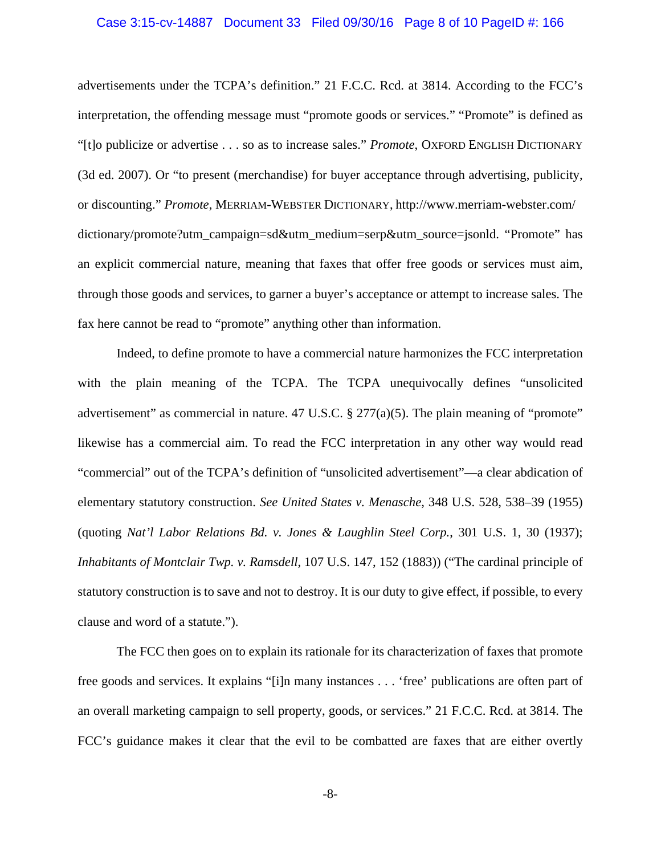### Case 3:15-cv-14887 Document 33 Filed 09/30/16 Page 8 of 10 PageID #: 166

advertisements under the TCPA's definition." 21 F.C.C. Rcd. at 3814. According to the FCC's interpretation, the offending message must "promote goods or services." "Promote" is defined as "[t]o publicize or advertise . . . so as to increase sales." *Promote*, OXFORD ENGLISH DICTIONARY (3d ed. 2007). Or "to present (merchandise) for buyer acceptance through advertising, publicity, or discounting." *Promote*, MERRIAM-WEBSTER DICTIONARY, http://www.merriam-webster.com/ dictionary/promote?utm\_campaign=sd&utm\_medium=serp&utm\_source=jsonld. "Promote" has an explicit commercial nature, meaning that faxes that offer free goods or services must aim, through those goods and services, to garner a buyer's acceptance or attempt to increase sales. The fax here cannot be read to "promote" anything other than information.

 Indeed, to define promote to have a commercial nature harmonizes the FCC interpretation with the plain meaning of the TCPA. The TCPA unequivocally defines "unsolicited advertisement" as commercial in nature. 47 U.S.C.  $\S 277(a)(5)$ . The plain meaning of "promote" likewise has a commercial aim. To read the FCC interpretation in any other way would read "commercial" out of the TCPA's definition of "unsolicited advertisement"—a clear abdication of elementary statutory construction. *See United States v. Menasche*, 348 U.S. 528, 538–39 (1955) (quoting *Nat'l Labor Relations Bd. v. Jones & Laughlin Steel Corp.*, 301 U.S. 1, 30 (1937); *Inhabitants of Montclair Twp. v. Ramsdell*, 107 U.S. 147, 152 (1883)) ("The cardinal principle of statutory construction is to save and not to destroy. It is our duty to give effect, if possible, to every clause and word of a statute.").

 The FCC then goes on to explain its rationale for its characterization of faxes that promote free goods and services. It explains "[i]n many instances . . . 'free' publications are often part of an overall marketing campaign to sell property, goods, or services." 21 F.C.C. Rcd. at 3814. The FCC's guidance makes it clear that the evil to be combatted are faxes that are either overtly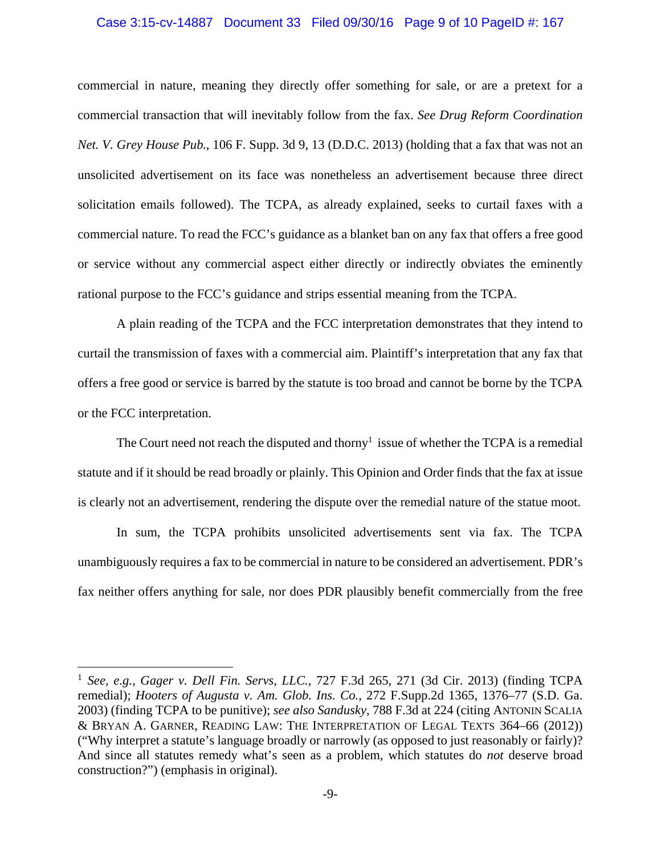### Case 3:15-cv-14887 Document 33 Filed 09/30/16 Page 9 of 10 PageID #: 167

commercial in nature, meaning they directly offer something for sale, or are a pretext for a commercial transaction that will inevitably follow from the fax. *See Drug Reform Coordination Net. V. Grey House Pub.*, 106 F. Supp. 3d 9, 13 (D.D.C. 2013) (holding that a fax that was not an unsolicited advertisement on its face was nonetheless an advertisement because three direct solicitation emails followed). The TCPA, as already explained, seeks to curtail faxes with a commercial nature. To read the FCC's guidance as a blanket ban on any fax that offers a free good or service without any commercial aspect either directly or indirectly obviates the eminently rational purpose to the FCC's guidance and strips essential meaning from the TCPA.

 A plain reading of the TCPA and the FCC interpretation demonstrates that they intend to curtail the transmission of faxes with a commercial aim. Plaintiff's interpretation that any fax that offers a free good or service is barred by the statute is too broad and cannot be borne by the TCPA or the FCC interpretation.

The Court need not reach the disputed and thorny<sup>1</sup> issue of whether the TCPA is a remedial statute and if it should be read broadly or plainly. This Opinion and Order finds that the fax at issue is clearly not an advertisement, rendering the dispute over the remedial nature of the statue moot.

In sum, the TCPA prohibits unsolicited advertisements sent via fax. The TCPA unambiguously requires a fax to be commercial in nature to be considered an advertisement. PDR's fax neither offers anything for sale, nor does PDR plausibly benefit commercially from the free

 $\overline{a}$ 

<sup>1</sup> *See, e.g.*, *Gager v. Dell Fin. Servs, LLC.*, 727 F.3d 265, 271 (3d Cir. 2013) (finding TCPA remedial); *Hooters of Augusta v. Am. Glob. Ins. Co.*, 272 F.Supp.2d 1365, 1376–77 (S.D. Ga. 2003) (finding TCPA to be punitive); *see also Sandusky*, 788 F.3d at 224 (citing ANTONIN SCALIA & BRYAN A. GARNER, READING LAW: THE INTERPRETATION OF LEGAL TEXTS 364–66 (2012)) ("Why interpret a statute's language broadly or narrowly (as opposed to just reasonably or fairly)? And since all statutes remedy what's seen as a problem, which statutes do *not* deserve broad construction?") (emphasis in original).